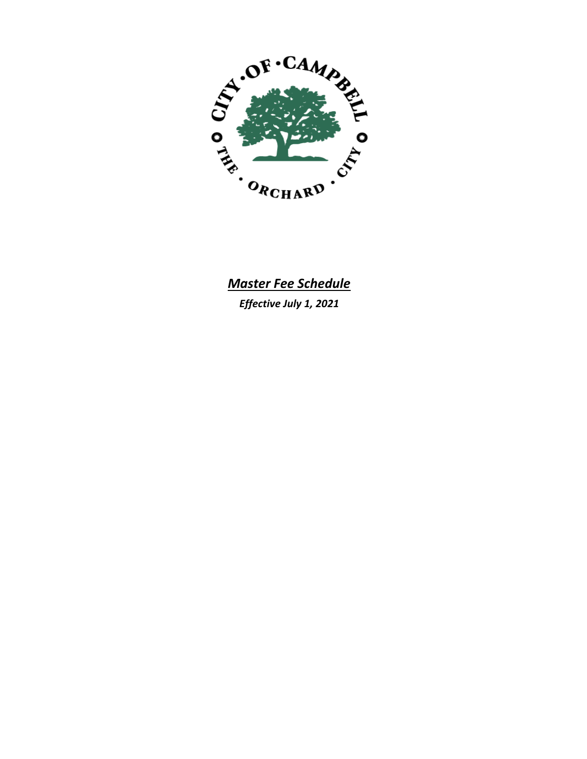

# *Master Fee Schedule*

*Effective July 1, 2021*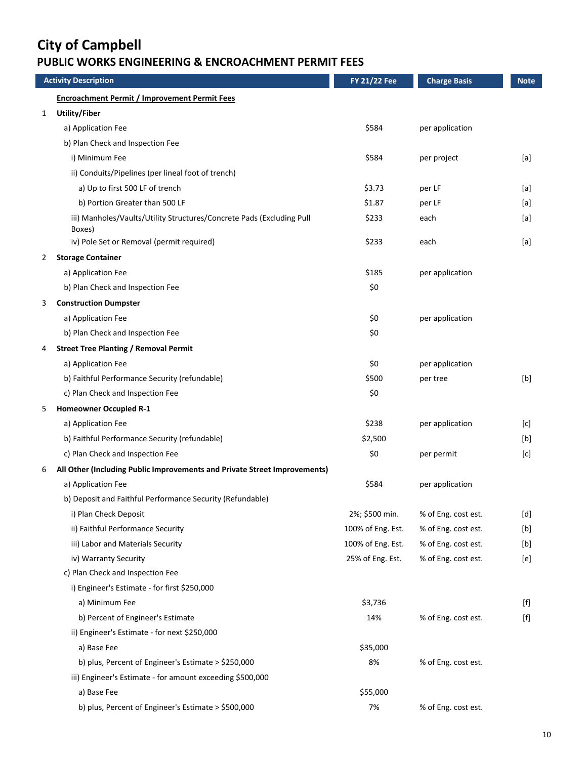### **PUBLIC WORKS ENGINEERING & ENCROACHMENT PERMIT FEES**

|   | <b>Activity Description</b>                                                     | <b>FY 21/22 Fee</b> | <b>Charge Basis</b> | <b>Note</b> |
|---|---------------------------------------------------------------------------------|---------------------|---------------------|-------------|
|   | <b>Encroachment Permit / Improvement Permit Fees</b>                            |                     |                     |             |
| 1 | <b>Utility/Fiber</b>                                                            |                     |                     |             |
|   | a) Application Fee                                                              | \$584               | per application     |             |
|   | b) Plan Check and Inspection Fee                                                |                     |                     |             |
|   | i) Minimum Fee                                                                  | \$584               | per project         | [a]         |
|   | ii) Conduits/Pipelines (per lineal foot of trench)                              |                     |                     |             |
|   | a) Up to first 500 LF of trench                                                 | \$3.73              | per LF              | [a]         |
|   | b) Portion Greater than 500 LF                                                  | \$1.87              | per LF              | [a]         |
|   | iii) Manholes/Vaults/Utility Structures/Concrete Pads (Excluding Pull<br>Boxes) | \$233               | each                | [a]         |
|   | iv) Pole Set or Removal (permit required)                                       | \$233               | each                | [a]         |
| 2 | <b>Storage Container</b>                                                        |                     |                     |             |
|   | a) Application Fee                                                              | \$185               | per application     |             |
|   | b) Plan Check and Inspection Fee                                                | \$0                 |                     |             |
| 3 | <b>Construction Dumpster</b>                                                    |                     |                     |             |
|   | a) Application Fee                                                              | \$0                 | per application     |             |
|   | b) Plan Check and Inspection Fee                                                | \$0                 |                     |             |
| 4 | <b>Street Tree Planting / Removal Permit</b>                                    |                     |                     |             |
|   | a) Application Fee                                                              | \$0                 | per application     |             |
|   | b) Faithful Performance Security (refundable)                                   | \$500               | per tree            | [b]         |
|   | c) Plan Check and Inspection Fee                                                | \$0                 |                     |             |
| 5 | <b>Homeowner Occupied R-1</b>                                                   |                     |                     |             |
|   | a) Application Fee                                                              | \$238               | per application     | [c]         |
|   | b) Faithful Performance Security (refundable)                                   | \$2,500             |                     | [b]         |
|   | c) Plan Check and Inspection Fee                                                | \$0                 | per permit          | [c]         |
| 6 | All Other (Including Public Improvements and Private Street Improvements)       |                     |                     |             |
|   | a) Application Fee                                                              | \$584               | per application     |             |
|   | b) Deposit and Faithful Performance Security (Refundable)                       |                     |                     |             |
|   | i) Plan Check Deposit                                                           | 2%; \$500 min.      | % of Eng. cost est. | [d]         |
|   | ii) Faithful Performance Security                                               | 100% of Eng. Est.   | % of Eng. cost est. | [b]         |
|   | iii) Labor and Materials Security                                               | 100% of Eng. Est.   | % of Eng. cost est. | [b]         |
|   | iv) Warranty Security                                                           | 25% of Eng. Est.    | % of Eng. cost est. | [e]         |
|   | c) Plan Check and Inspection Fee                                                |                     |                     |             |
|   | i) Engineer's Estimate - for first \$250,000                                    |                     |                     |             |
|   | a) Minimum Fee                                                                  | \$3,736             |                     |             |
|   | b) Percent of Engineer's Estimate                                               | 14%                 | % of Eng. cost est. | [f]         |
|   | ii) Engineer's Estimate - for next \$250,000                                    |                     |                     |             |
|   | a) Base Fee                                                                     | \$35,000            |                     |             |
|   | b) plus, Percent of Engineer's Estimate > \$250,000                             | 8%                  | % of Eng. cost est. |             |
|   | iii) Engineer's Estimate - for amount exceeding \$500,000                       |                     |                     |             |
|   | a) Base Fee                                                                     | \$55,000            |                     |             |
|   | b) plus, Percent of Engineer's Estimate > \$500,000                             | 7%                  | % of Eng. cost est. |             |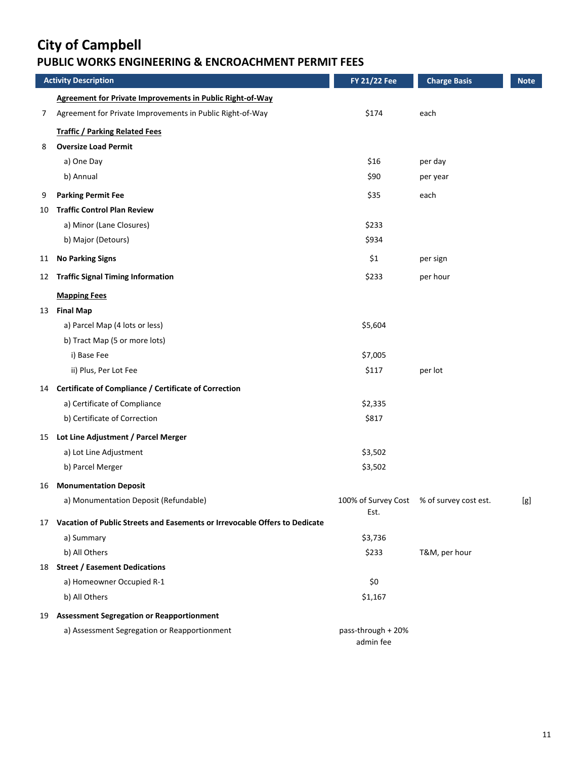### **PUBLIC WORKS ENGINEERING & ENCROACHMENT PERMIT FEES**

|    | <b>Activity Description</b>                                                | <b>FY 21/22 Fee</b>             | <b>Charge Basis</b>   | <b>Note</b> |
|----|----------------------------------------------------------------------------|---------------------------------|-----------------------|-------------|
|    | <b>Agreement for Private Improvements in Public Right-of-Way</b>           |                                 |                       |             |
| 7  | Agreement for Private Improvements in Public Right-of-Way                  | \$174                           | each                  |             |
|    | <b>Traffic / Parking Related Fees</b>                                      |                                 |                       |             |
| 8  | <b>Oversize Load Permit</b>                                                |                                 |                       |             |
|    | a) One Day                                                                 | \$16                            | per day               |             |
|    | b) Annual                                                                  | \$90                            | per year              |             |
| 9  | <b>Parking Permit Fee</b>                                                  | \$35                            | each                  |             |
| 10 | <b>Traffic Control Plan Review</b>                                         |                                 |                       |             |
|    | a) Minor (Lane Closures)                                                   | \$233                           |                       |             |
|    | b) Major (Detours)                                                         | \$934                           |                       |             |
| 11 | <b>No Parking Signs</b>                                                    | \$1                             | per sign              |             |
| 12 | <b>Traffic Signal Timing Information</b>                                   | \$233                           | per hour              |             |
|    | <b>Mapping Fees</b>                                                        |                                 |                       |             |
| 13 | <b>Final Map</b>                                                           |                                 |                       |             |
|    | a) Parcel Map (4 lots or less)                                             | \$5,604                         |                       |             |
|    | b) Tract Map (5 or more lots)                                              |                                 |                       |             |
|    | i) Base Fee                                                                | \$7,005                         |                       |             |
|    | ii) Plus, Per Lot Fee                                                      | \$117                           | per lot               |             |
| 14 | <b>Certificate of Compliance / Certificate of Correction</b>               |                                 |                       |             |
|    | a) Certificate of Compliance                                               | \$2,335                         |                       |             |
|    | b) Certificate of Correction                                               | \$817                           |                       |             |
|    | 15 Lot Line Adjustment / Parcel Merger                                     |                                 |                       |             |
|    | a) Lot Line Adjustment                                                     | \$3,502                         |                       |             |
|    | b) Parcel Merger                                                           | \$3,502                         |                       |             |
| 16 | <b>Monumentation Deposit</b>                                               |                                 |                       |             |
|    | a) Monumentation Deposit (Refundable)                                      | 100% of Survey Cost<br>Est.     | % of survey cost est. | [g]         |
| 17 | Vacation of Public Streets and Easements or Irrevocable Offers to Dedicate |                                 |                       |             |
|    | a) Summary                                                                 | \$3,736                         |                       |             |
|    | b) All Others                                                              | \$233                           | T&M, per hour         |             |
| 18 | <b>Street / Easement Dedications</b>                                       |                                 |                       |             |
|    | a) Homeowner Occupied R-1                                                  | \$0                             |                       |             |
|    | b) All Others                                                              | \$1,167                         |                       |             |
|    | 19 Assessment Segregation or Reapportionment                               |                                 |                       |             |
|    | a) Assessment Segregation or Reapportionment                               | pass-through + 20%<br>admin fee |                       |             |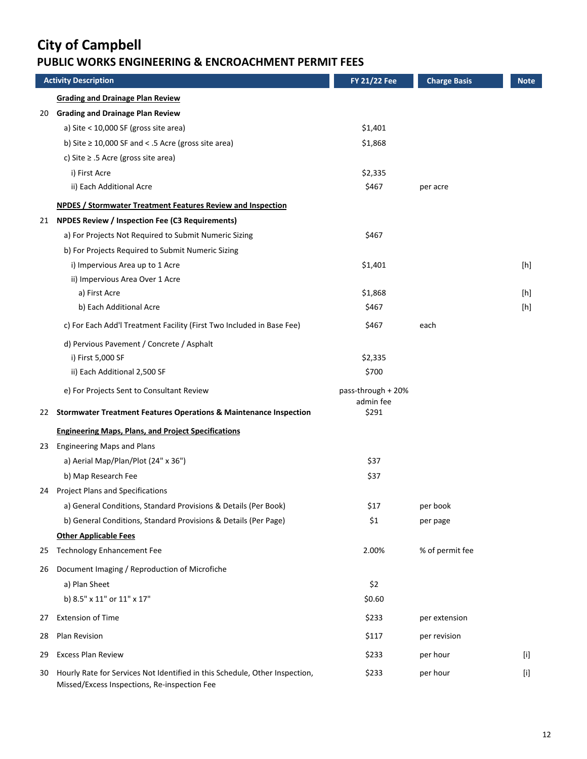#### **PUBLIC WORKS ENGINEERING & ENCROACHMENT PERMIT FEES**

|    | <b>Activity Description</b>                                                                                                 | <b>FY 21/22 Fee</b>             | <b>Charge Basis</b> | <b>Note</b> |
|----|-----------------------------------------------------------------------------------------------------------------------------|---------------------------------|---------------------|-------------|
|    | <b>Grading and Drainage Plan Review</b>                                                                                     |                                 |                     |             |
| 20 | <b>Grading and Drainage Plan Review</b>                                                                                     |                                 |                     |             |
|    | a) Site < $10,000$ SF (gross site area)                                                                                     | \$1,401                         |                     |             |
|    | b) Site $\geq$ 10,000 SF and < .5 Acre (gross site area)                                                                    | \$1,868                         |                     |             |
|    | c) Site $\ge$ .5 Acre (gross site area)                                                                                     |                                 |                     |             |
|    | i) First Acre                                                                                                               | \$2,335                         |                     |             |
|    | ii) Each Additional Acre                                                                                                    | \$467                           | per acre            |             |
|    | <b>NPDES / Stormwater Treatment Features Review and Inspection</b>                                                          |                                 |                     |             |
| 21 | <b>NPDES Review / Inspection Fee (C3 Requirements)</b>                                                                      |                                 |                     |             |
|    | a) For Projects Not Required to Submit Numeric Sizing                                                                       | \$467                           |                     |             |
|    | b) For Projects Required to Submit Numeric Sizing                                                                           |                                 |                     |             |
|    | i) Impervious Area up to 1 Acre                                                                                             | \$1,401                         |                     | [h]         |
|    | ii) Impervious Area Over 1 Acre                                                                                             |                                 |                     |             |
|    | a) First Acre                                                                                                               | \$1,868                         |                     | [h]         |
|    | b) Each Additional Acre                                                                                                     | \$467                           |                     | [h]         |
|    | c) For Each Add'l Treatment Facility (First Two Included in Base Fee)                                                       | \$467                           | each                |             |
|    | d) Pervious Pavement / Concrete / Asphalt                                                                                   |                                 |                     |             |
|    | i) First 5,000 SF                                                                                                           | \$2,335                         |                     |             |
|    | ii) Each Additional 2,500 SF                                                                                                | \$700                           |                     |             |
|    | e) For Projects Sent to Consultant Review                                                                                   | pass-through + 20%<br>admin fee |                     |             |
| 22 | <b>Stormwater Treatment Features Operations &amp; Maintenance Inspection</b>                                                | \$291                           |                     |             |
|    | <b>Engineering Maps, Plans, and Project Specifications</b>                                                                  |                                 |                     |             |
|    | 23 Engineering Maps and Plans                                                                                               |                                 |                     |             |
|    | a) Aerial Map/Plan/Plot (24" x 36")                                                                                         | \$37                            |                     |             |
|    | b) Map Research Fee                                                                                                         | \$37                            |                     |             |
|    | 24 Project Plans and Specifications                                                                                         |                                 |                     |             |
|    | a) General Conditions, Standard Provisions & Details (Per Book)                                                             | \$17                            | per book            |             |
|    | b) General Conditions, Standard Provisions & Details (Per Page)                                                             | \$1                             | per page            |             |
|    | <b>Other Applicable Fees</b>                                                                                                |                                 |                     |             |
| 25 | <b>Technology Enhancement Fee</b>                                                                                           | 2.00%                           | % of permit fee     |             |
| 26 | Document Imaging / Reproduction of Microfiche                                                                               |                                 |                     |             |
|    | a) Plan Sheet                                                                                                               | \$2                             |                     |             |
|    | b) 8.5" x 11" or 11" x 17"                                                                                                  | \$0.60                          |                     |             |
| 27 | <b>Extension of Time</b>                                                                                                    | \$233                           | per extension       |             |
| 28 | Plan Revision                                                                                                               | \$117                           | per revision        |             |
| 29 | <b>Excess Plan Review</b>                                                                                                   | \$233                           | per hour            | [1]         |
| 30 | Hourly Rate for Services Not Identified in this Schedule, Other Inspection,<br>Missed/Excess Inspections, Re-inspection Fee | \$233                           | per hour            | $[$         |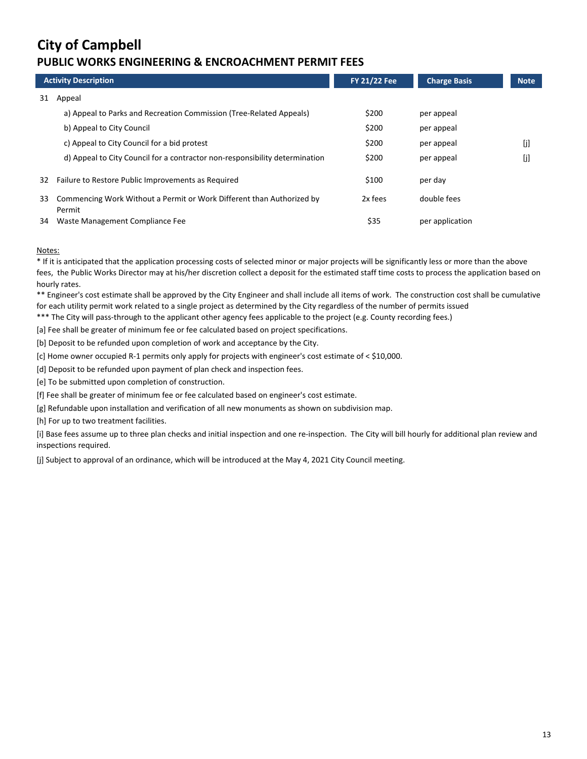#### **PUBLIC WORKS ENGINEERING & ENCROACHMENT PERMIT FEES**

|    | <b>Activity Description</b>                                                     | <b>FY 21/22 Fee</b> | <b>Charge Basis</b> | <b>Note</b> |
|----|---------------------------------------------------------------------------------|---------------------|---------------------|-------------|
| 31 | Appeal                                                                          |                     |                     |             |
|    | a) Appeal to Parks and Recreation Commission (Tree-Related Appeals)             | \$200               | per appeal          |             |
|    | b) Appeal to City Council                                                       | \$200               | per appeal          |             |
|    | c) Appeal to City Council for a bid protest                                     | \$200               | per appeal          | [j]         |
|    | d) Appeal to City Council for a contractor non-responsibility determination     | \$200               | per appeal          | [j]         |
| 32 | Failure to Restore Public Improvements as Required                              | \$100               | per day             |             |
| 33 | Commencing Work Without a Permit or Work Different than Authorized by<br>Permit | 2x fees             | double fees         |             |
| 34 | Waste Management Compliance Fee                                                 | \$35                | per application     |             |

#### Notes:

\* If it is anticipated that the application processing costs of selected minor or major projects will be significantly less or more than the above fees, the Public Works Director may at his/her discretion collect a deposit for the estimated staff time costs to process the application based on hourly rates.

\*\* Engineer's cost estimate shall be approved by the City Engineer and shall include all items of work. The construction cost shall be cumulative for each utility permit work related to a single project as determined by the City regardless of the number of permits issued

\*\*\* The City will pass-through to the applicant other agency fees applicable to the project (e.g. County recording fees.)

[a] Fee shall be greater of minimum fee or fee calculated based on project specifications.

[b] Deposit to be refunded upon completion of work and acceptance by the City.

[c] Home owner occupied R‐1 permits only apply for projects with engineer's cost estimate of < \$10,000.

[d] Deposit to be refunded upon payment of plan check and inspection fees.

[e] To be submitted upon completion of construction.

[f] Fee shall be greater of minimum fee or fee calculated based on engineer's cost estimate.

[g] Refundable upon installation and verification of all new monuments as shown on subdivision map.

[h] For up to two treatment facilities.

[i] Base fees assume up to three plan checks and initial inspection and one re‐inspection. The City will bill hourly for additional plan review and inspections required.

[j] Subject to approval of an ordinance, which will be introduced at the May 4, 2021 City Council meeting.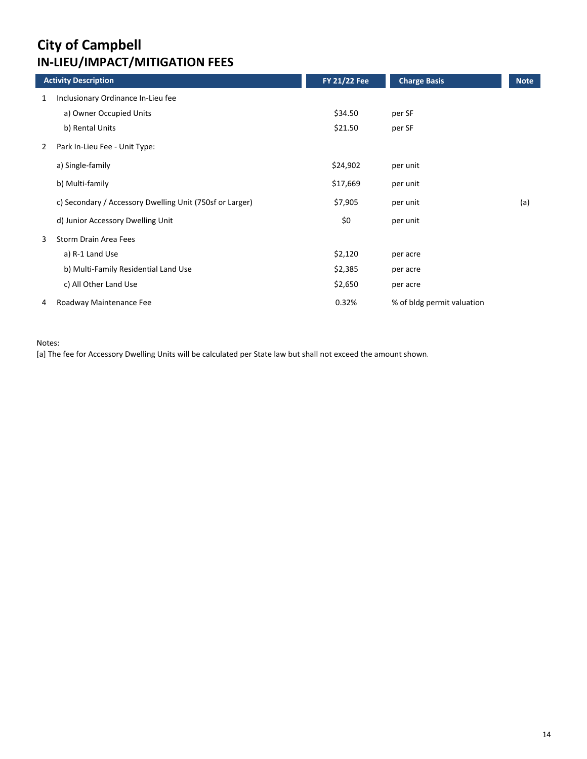## **City of Campbell IN‐LIEU/IMPACT/MITIGATION FEES**

|   | <b>Activity Description</b>                              | <b>FY 21/22 Fee</b> | <b>Charge Basis</b>        | <b>Note</b> |
|---|----------------------------------------------------------|---------------------|----------------------------|-------------|
| 1 | Inclusionary Ordinance In-Lieu fee                       |                     |                            |             |
|   | a) Owner Occupied Units                                  | \$34.50             | per SF                     |             |
|   | b) Rental Units                                          | \$21.50             | per SF                     |             |
| 2 | Park In-Lieu Fee - Unit Type:                            |                     |                            |             |
|   | a) Single-family                                         | \$24,902            | per unit                   |             |
|   | b) Multi-family                                          | \$17,669            | per unit                   |             |
|   | c) Secondary / Accessory Dwelling Unit (750sf or Larger) | \$7,905             | per unit                   | (a)         |
|   | d) Junior Accessory Dwelling Unit                        | \$0                 | per unit                   |             |
| 3 | Storm Drain Area Fees                                    |                     |                            |             |
|   | a) R-1 Land Use                                          | \$2,120             | per acre                   |             |
|   | b) Multi-Family Residential Land Use                     | \$2,385             | per acre                   |             |
|   | c) All Other Land Use                                    | \$2,650             | per acre                   |             |
| 4 | Roadway Maintenance Fee                                  | 0.32%               | % of bldg permit valuation |             |

Notes:

[a] The fee for Accessory Dwelling Units will be calculated per State law but shall not exceed the amount shown.